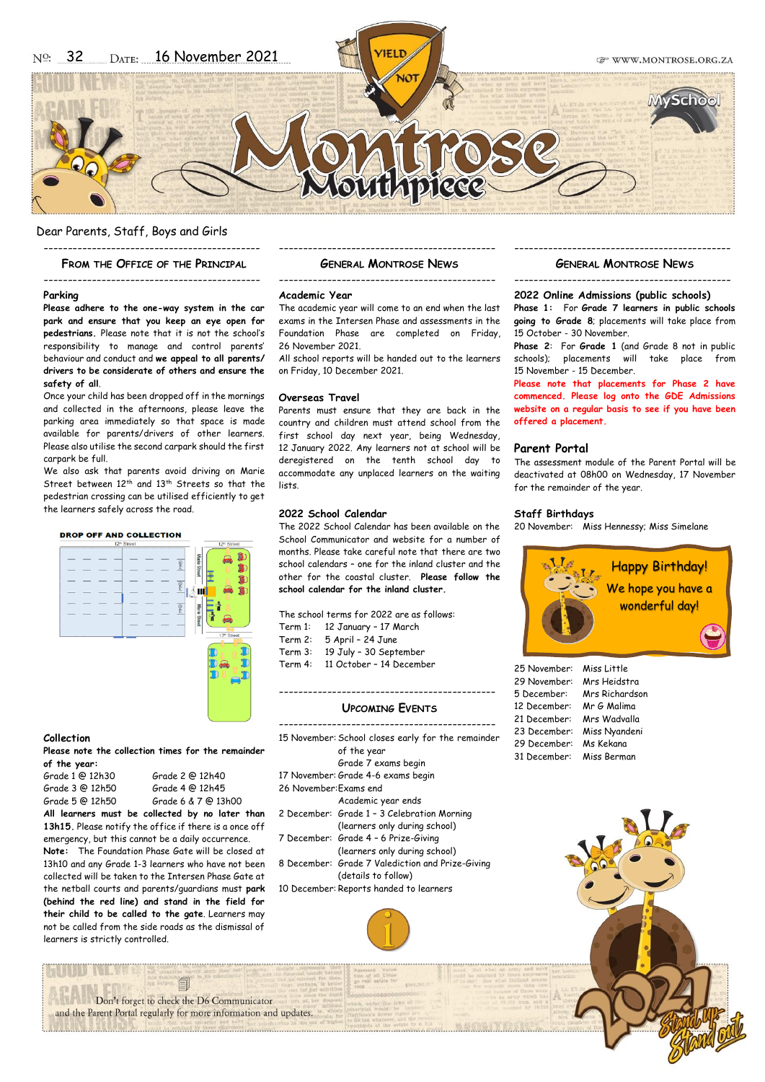

## Dear Parents, Staff, Boys and Girls ---------------------------------------------

#### **FROM THE OFFICE OF THE PRINCIPAL**

---------------------------------------------

## **Parking**

**Please adhere to the one-way system in the car park and ensure that you keep an eye open for pedestrians.** Please note that it is not the school's responsibility to manage and control parents' behaviour and conduct and **we appeal to all parents/ drivers to be considerate of others and ensure the safety of all**.

Once your child has been dropped off in the mornings and collected in the afternoons, please leave the parking area immediately so that space is made available for parents/drivers of other learners. Please also utilise the second carpark should the first carpark be full.

We also ask that parents avoid driving on Marie Street between 12<sup>th</sup> and 13<sup>th</sup> Streets so that the pedestrian crossing can be utilised efficiently to get the learners safely across the road.

#### **DROP OFF AND COLLECTION**



#### **Collection**

**Please note the collection times for the remainder of the year:**

|                 | All learners must be collected by no later than |  |
|-----------------|-------------------------------------------------|--|
| Grade 5 @ 12h50 | Grade 6 & 7 @ 13h00                             |  |
| Grade 3 @ 12h50 | Grade 4 @ 12h45                                 |  |
| Grade 1 @ 12h30 | Grade 2 @ 12h40                                 |  |

**13h15.** Please notify the office if there is a once off emergency, but this cannot be a daily occurrence.

**Note:** The Foundation Phase Gate will be closed at 13h10 and any Grade 1-3 learners who have not been collected will be taken to the Intersen Phase Gate at the netball courts and parents/guardians must **park (behind the red line) and stand in the field for their child to be called to the gate**. Learners may not be called from the side roads as the dismissal of learners is strictly controlled.

# --------------------------------------------- **GENERAL MONTROSE NEWS** ---------------------------------------------

#### **Academic Year**

The academic year will come to an end when the last exams in the Intersen Phase and assessments in the Foundation Phase are completed on Friday, 26 November 2021.

All school reports will be handed out to the learners on Friday, 10 December 2021.

#### **Overseas Travel**

Parents must ensure that they are back in the country and children must attend school from the first school day next year, being Wednesday, 12 January 2022. Any learners not at school will be deregistered on the tenth school day to accommodate any unplaced learners on the waiting lists.

# **2022 School Calendar**

The 2022 School Calendar has been available on the School Communicator and website for a number of months. Please take careful note that there are two school calendars – one for the inland cluster and the other for the coastal cluster. **Please follow the school calendar for the inland cluster.**

The school terms for 2022 are as follows: Term 1: 12 January – 17 March Term 2: 5 April – 24 June Term 3: 19 July – 30 September Term 4: 11 October – 14 December

# --------------------------------------------- **UPCOMING EVENTS**

|                                         | 15 November: School closes early for the remainder |  |
|-----------------------------------------|----------------------------------------------------|--|
|                                         | of the year                                        |  |
|                                         | Grade 7 exams begin                                |  |
|                                         | 17 November: Grade 4-6 exams begin                 |  |
| 26 November: Fxams end                  |                                                    |  |
|                                         | Academic year ends                                 |  |
|                                         | 2 December: Grade 1 - 3 Celebration Morning        |  |
|                                         | (learners only during school)                      |  |
|                                         | 7 December: Grade 4 - 6 Prize-Giving               |  |
|                                         | (learners only during school)                      |  |
|                                         | 8 December: Grade 7 Valediction and Prize-Giving   |  |
|                                         | (details to follow)                                |  |
| 10 December: Reports handed to learners |                                                    |  |
|                                         |                                                    |  |



# --------------------------------------------- **GENERAL MONTROSE NEWS**

---------------------------------------------

## **2022 Online Admissions (public schools)**

**Phase 1:** For **Grade 7 learners in public schools going to Grade 8**; placements will take place from 15 October - 30 November.

**Phase 2**: For **Grade 1** (and Grade 8 not in public schools); placements will take place from 15 November - 15 December.

**Please note that placements for Phase 2 have commenced. Please log onto the GDE Admissions website on a regular basis to see if you have been offered a placement.**

# **Parent Portal**

The assessment module of the Parent Portal will be deactivated at 08h00 on Wednesday, 17 November for the remainder of the year.

## **Staff Birthdays**

20 November: Miss Hennessy; Miss Simelane



| 25 November: | Miss Little    |
|--------------|----------------|
| 29 November: | Mrs Heidstra   |
| 5 December:  | Mrs Richardson |
| 12 December: | Mr G Malima    |
| 21 December: | Mrs Wadvalla   |
| 23 December: | Miss Nyandeni  |
| 29 December: | Ms Kekana      |
| 31 December: | Miss Berman    |



Don't forget to check the D6 Communicator and the Parent Portal regularly for more information and updates.